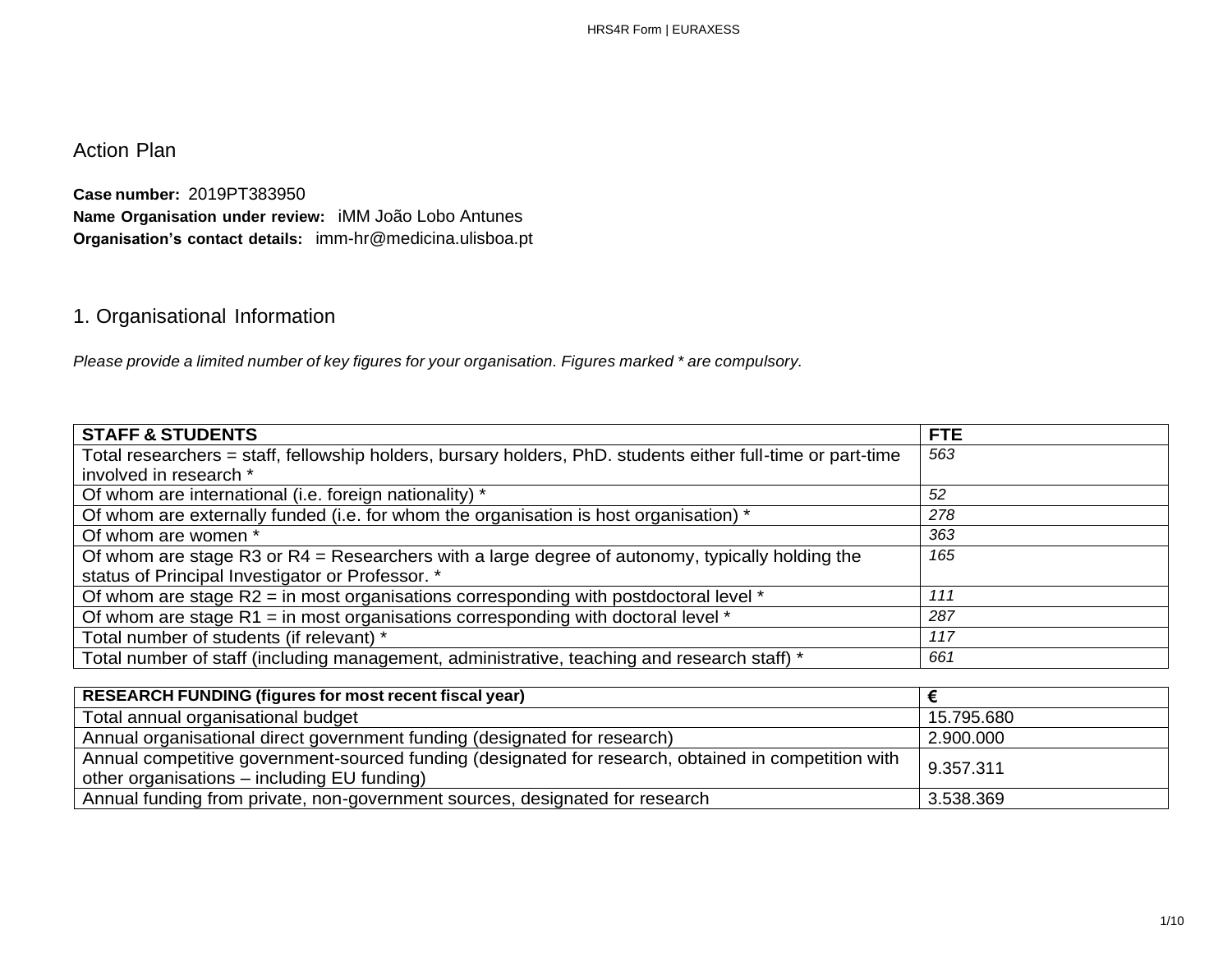Action Plan

**Case number:** 2019PT383950 **Name Organisation under review:** iMM João Lobo Antunes **Organisation's contact details:** imm-hr@medicina.ulisboa.pt

# 1. Organisational Information

*Please provide a limited number of key figures for your organisation. Figures marked \* are compulsory.*

| <b>STAFF &amp; STUDENTS</b>                                                                                 | <b>FTE</b> |
|-------------------------------------------------------------------------------------------------------------|------------|
| Total researchers = staff, fellowship holders, bursary holders, PhD. students either full-time or part-time | 563        |
| involved in research *                                                                                      |            |
| Of whom are international (i.e. foreign nationality) *                                                      | 52         |
| Of whom are externally funded (i.e. for whom the organisation is host organisation) *                       | 278        |
| Of whom are women *                                                                                         | 363        |
| Of whom are stage R3 or $R4$ = Researchers with a large degree of autonomy, typically holding the           | 165        |
| status of Principal Investigator or Professor. *                                                            |            |
| Of whom are stage R2 = in most organisations corresponding with postdoctoral level *                        | 111        |
| Of whom are stage R1 = in most organisations corresponding with doctoral level $*$                          | 287        |
| Total number of students (if relevant) *                                                                    | 117        |
| Total number of staff (including management, administrative, teaching and research staff) *                 | 661        |

| <b>RESEARCH FUNDING (figures for most recent fiscal year)</b>                                                                                       |            |
|-----------------------------------------------------------------------------------------------------------------------------------------------------|------------|
| Total annual organisational budget                                                                                                                  | 15.795.680 |
| Annual organisational direct government funding (designated for research)                                                                           | 2.900.000  |
| Annual competitive government-sourced funding (designated for research, obtained in competition with<br>other organisations – including EU funding) | 9.357.311  |
| Annual funding from private, non-government sources, designated for research                                                                        | 3.538.369  |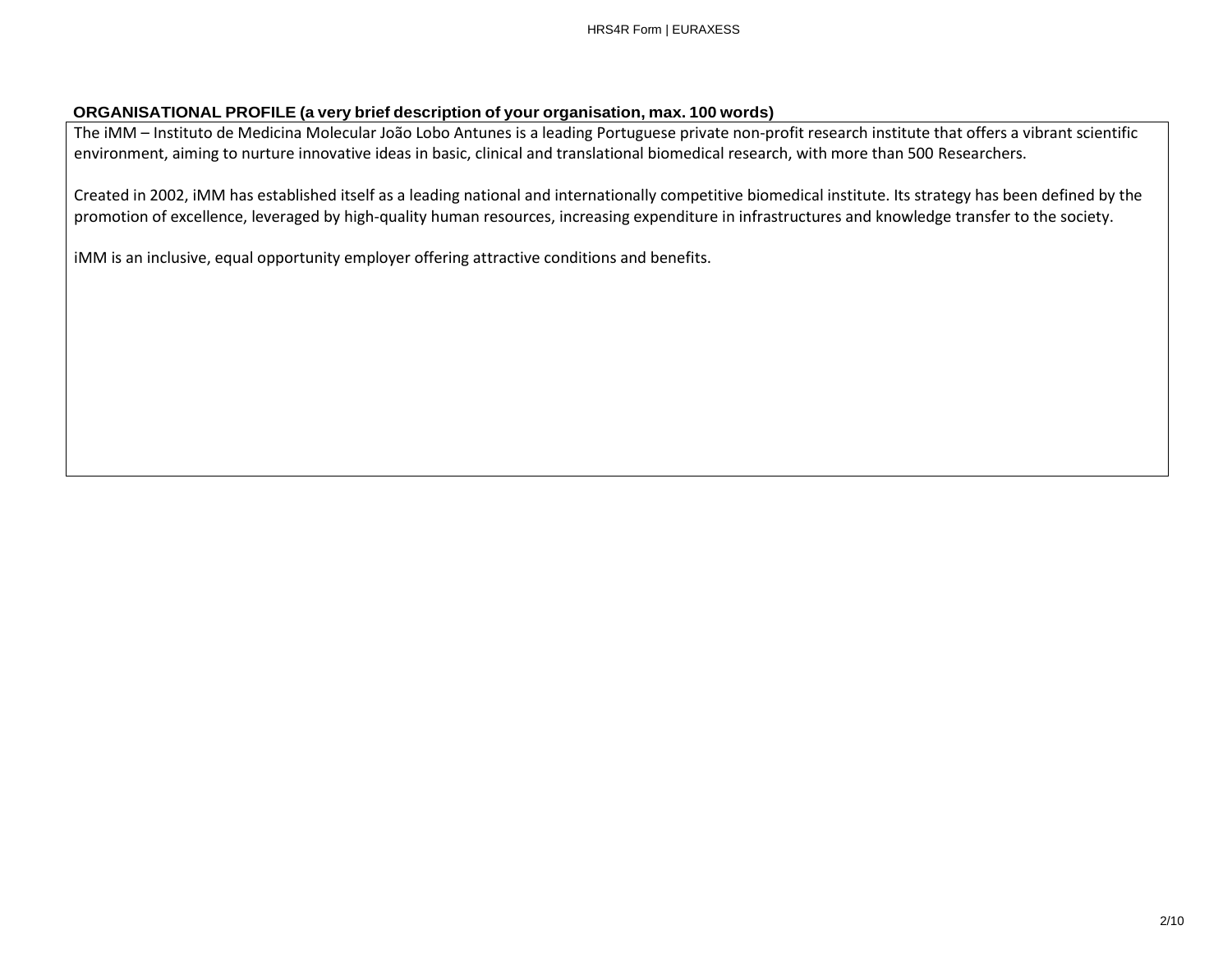#### **ORGANISATIONAL PROFILE (a very brief description of your organisation, max. 100 words)**

The iMM – Instituto de Medicina Molecular João Lobo Antunes is a leading Portuguese private non-profit research institute that offers a vibrant scientific environment, aiming to nurture innovative ideas in basic, clinical and translational biomedical research, with more than 500 Researchers.

Created in 2002, iMM has established itself as a leading national and internationally competitive biomedical institute. Its strategy has been defined by the promotion of excellence, leveraged by high-quality human resources, increasing expenditure in infrastructures and knowledge transfer to the society.

iMM is an inclusive, equal opportunity employer offering attractive conditions and benefits.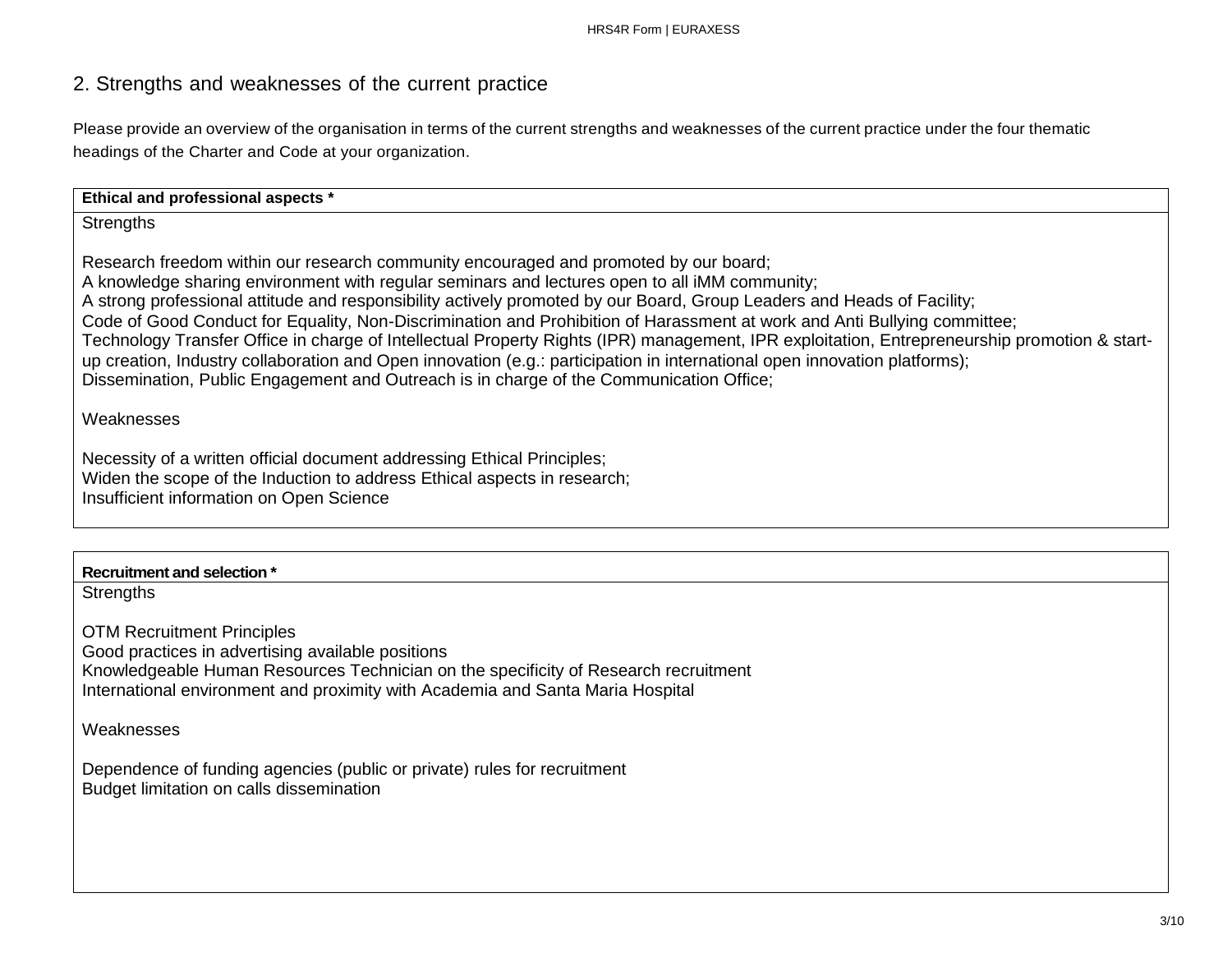## 2. Strengths and weaknesses of the current practice

Please provide an overview of the organisation in terms of the current strengths and weaknesses of the current practice under the four thematic headings of the Charter and Code at your organization.

| Ethical and professional aspects *                                                                                                                                                                                                                                                                                                                                                                                                                                                                                                                                                                                                                                                                                                                                                                                  |
|---------------------------------------------------------------------------------------------------------------------------------------------------------------------------------------------------------------------------------------------------------------------------------------------------------------------------------------------------------------------------------------------------------------------------------------------------------------------------------------------------------------------------------------------------------------------------------------------------------------------------------------------------------------------------------------------------------------------------------------------------------------------------------------------------------------------|
| <b>Strengths</b>                                                                                                                                                                                                                                                                                                                                                                                                                                                                                                                                                                                                                                                                                                                                                                                                    |
| Research freedom within our research community encouraged and promoted by our board;<br>A knowledge sharing environment with regular seminars and lectures open to all iMM community;<br>A strong professional attitude and responsibility actively promoted by our Board, Group Leaders and Heads of Facility;<br>Code of Good Conduct for Equality, Non-Discrimination and Prohibition of Harassment at work and Anti Bullying committee;<br>Technology Transfer Office in charge of Intellectual Property Rights (IPR) management, IPR exploitation, Entrepreneurship promotion & start-<br>up creation, Industry collaboration and Open innovation (e.g.: participation in international open innovation platforms);<br>Dissemination, Public Engagement and Outreach is in charge of the Communication Office; |
| Weaknesses                                                                                                                                                                                                                                                                                                                                                                                                                                                                                                                                                                                                                                                                                                                                                                                                          |
| Necessity of a written official document addressing Ethical Principles;<br>Widen the scope of the Induction to address Ethical aspects in research;<br>Insufficient information on Open Science                                                                                                                                                                                                                                                                                                                                                                                                                                                                                                                                                                                                                     |
|                                                                                                                                                                                                                                                                                                                                                                                                                                                                                                                                                                                                                                                                                                                                                                                                                     |
| Recruitment and selection *                                                                                                                                                                                                                                                                                                                                                                                                                                                                                                                                                                                                                                                                                                                                                                                         |

**Strengths** 

OTM Recruitment Principles Good practices in advertising available positions Knowledgeable Human Resources Technician on the specificity of Research recruitment International environment and proximity with Academia and Santa Maria Hospital

Weaknesses

Dependence of funding agencies (public or private) rules for recruitment Budget limitation on calls dissemination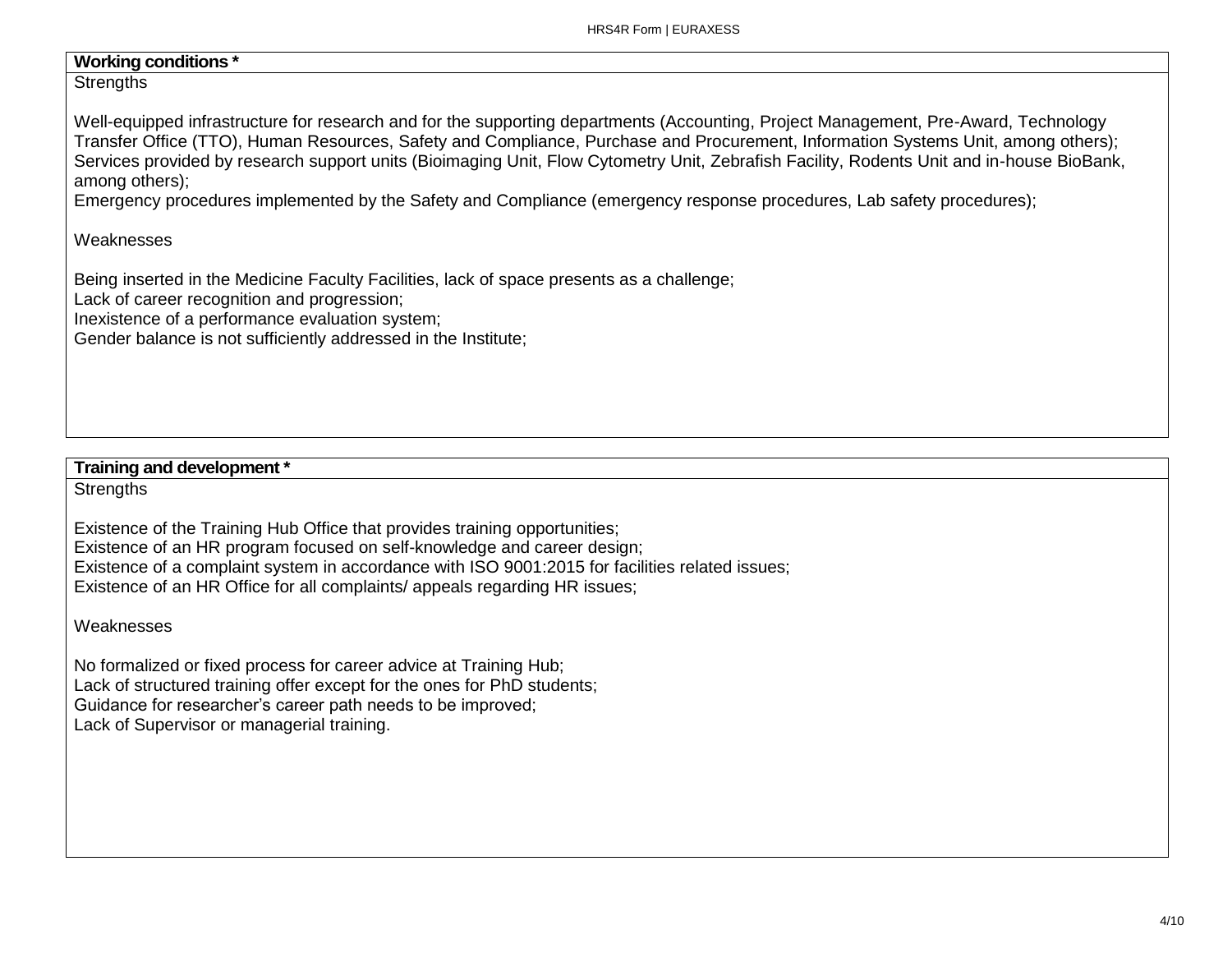## **Working conditions \***

#### **Strengths**

Well-equipped infrastructure for research and for the supporting departments (Accounting, Project Management, Pre-Award, Technology Transfer Office (TTO), Human Resources, Safety and Compliance, Purchase and Procurement, Information Systems Unit, among others); Services provided by research support units (Bioimaging Unit, Flow Cytometry Unit, Zebrafish Facility, Rodents Unit and in-house BioBank, among others);

Emergency procedures implemented by the Safety and Compliance (emergency response procedures, Lab safety procedures);

#### Weaknesses

Being inserted in the Medicine Faculty Facilities, lack of space presents as a challenge;

Lack of career recognition and progression;

Inexistence of a performance evaluation system;

Gender balance is not sufficiently addressed in the Institute;

## **Training and development \***

**Strengths** 

Existence of the Training Hub Office that provides training opportunities; Existence of an HR program focused on self-knowledge and career design; Existence of a complaint system in accordance with ISO 9001:2015 for facilities related issues; Existence of an HR Office for all complaints/ appeals regarding HR issues;

#### Weaknesses

No formalized or fixed process for career advice at Training Hub; Lack of structured training offer except for the ones for PhD students; Guidance for researcher's career path needs to be improved; Lack of Supervisor or managerial training.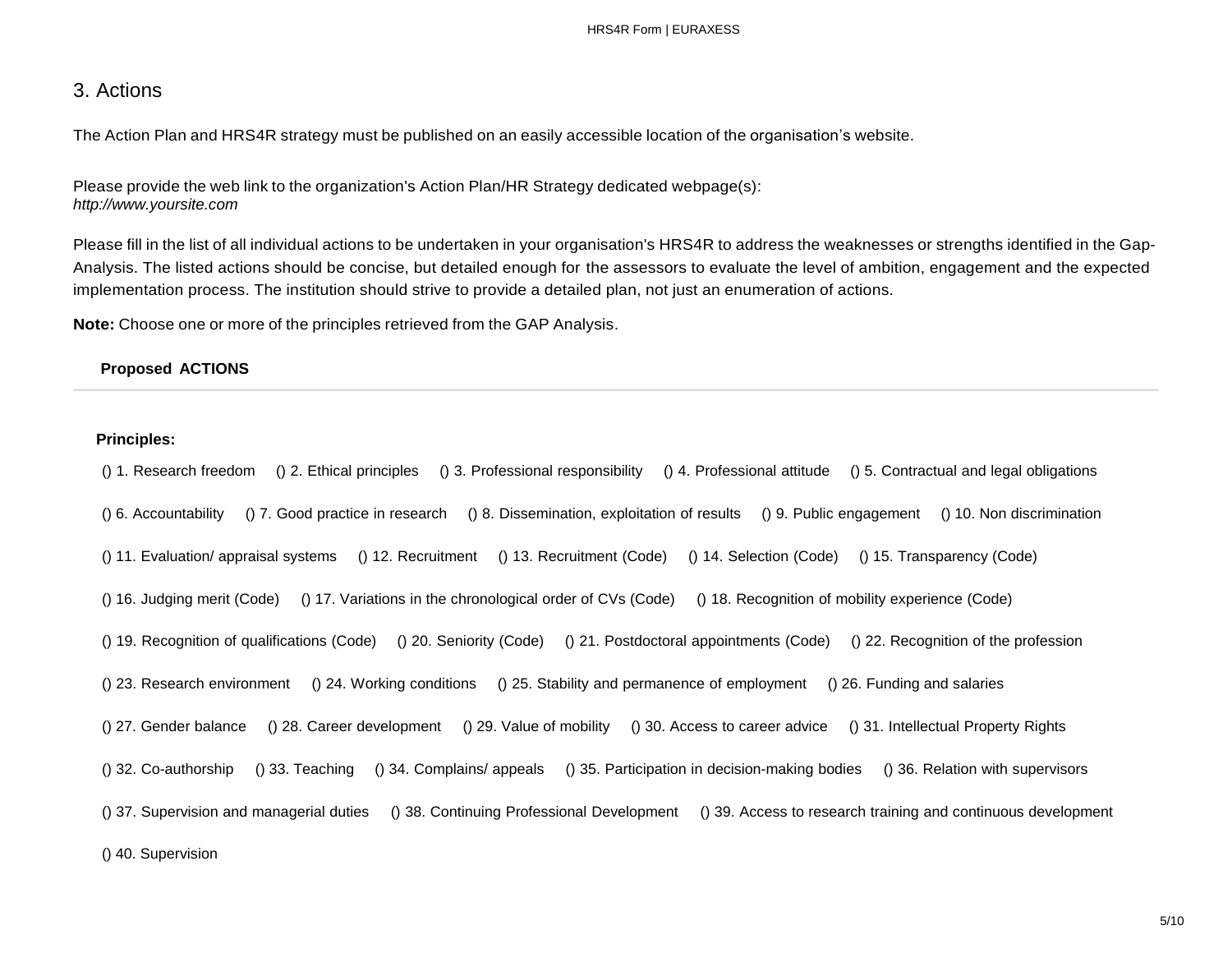## 3. Actions

The Action Plan and HRS4R strategy must be published on an easily accessible location of the organisation's website.

Please provide the web link to the organization's Action Plan/HR Strategy dedicated webpage(s): *[http://www.yoursite.com](http://www.yoursite.com/)*

Please fill in the list of all individual actions to be undertaken in your organisation's HRS4R to address the weaknesses or strengths identified in the Gap-Analysis. The listed actions should be concise, but detailed enough for the assessors to evaluate the level of ambition, engagement and the expected implementation process. The institution should strive to provide a detailed plan, not just an enumeration of actions.

**Note:** Choose one or more of the principles retrieved from the GAP Analysis.

#### **Proposed ACTIONS**

#### **Principles:**

() 1. Research freedom () 2. Ethical principles () 3. Professional responsibility () 4. Professional attitude () 5. Contractual and legal obligations () 6. Accountability () 7. Good practice in research () 8. Dissemination, exploitation of results () 9. Public engagement () 10. Non discrimination () 11. Evaluation/ appraisal systems () 12. Recruitment () 13. Recruitment (Code) () 14. Selection (Code) () 15. Transparency (Code) () 16. Judging merit (Code) () 17. Variations in the chronological order of CVs (Code) () 18. Recognition of mobility experience (Code) () 19. Recognition of qualifications (Code) () 20. Seniority (Code) () 21. Postdoctoral appointments (Code) () 22. Recognition of the profession () 23. Research environment () 24. Working conditions () 25. Stability and permanence of employment () 26. Funding and salaries () 27. Gender balance () 28. Career development () 29. Value of mobility () 30. Access to career advice () 31. Intellectual Property Rights () 32. Co-authorship () 33. Teaching () 34. Complains/ appeals () 35. Participation in decision-making bodies () 36. Relation with supervisors () 37. Supervision and managerial duties () 38. Continuing Professional Development () 39. Access to research training and continuous development () 40. Supervision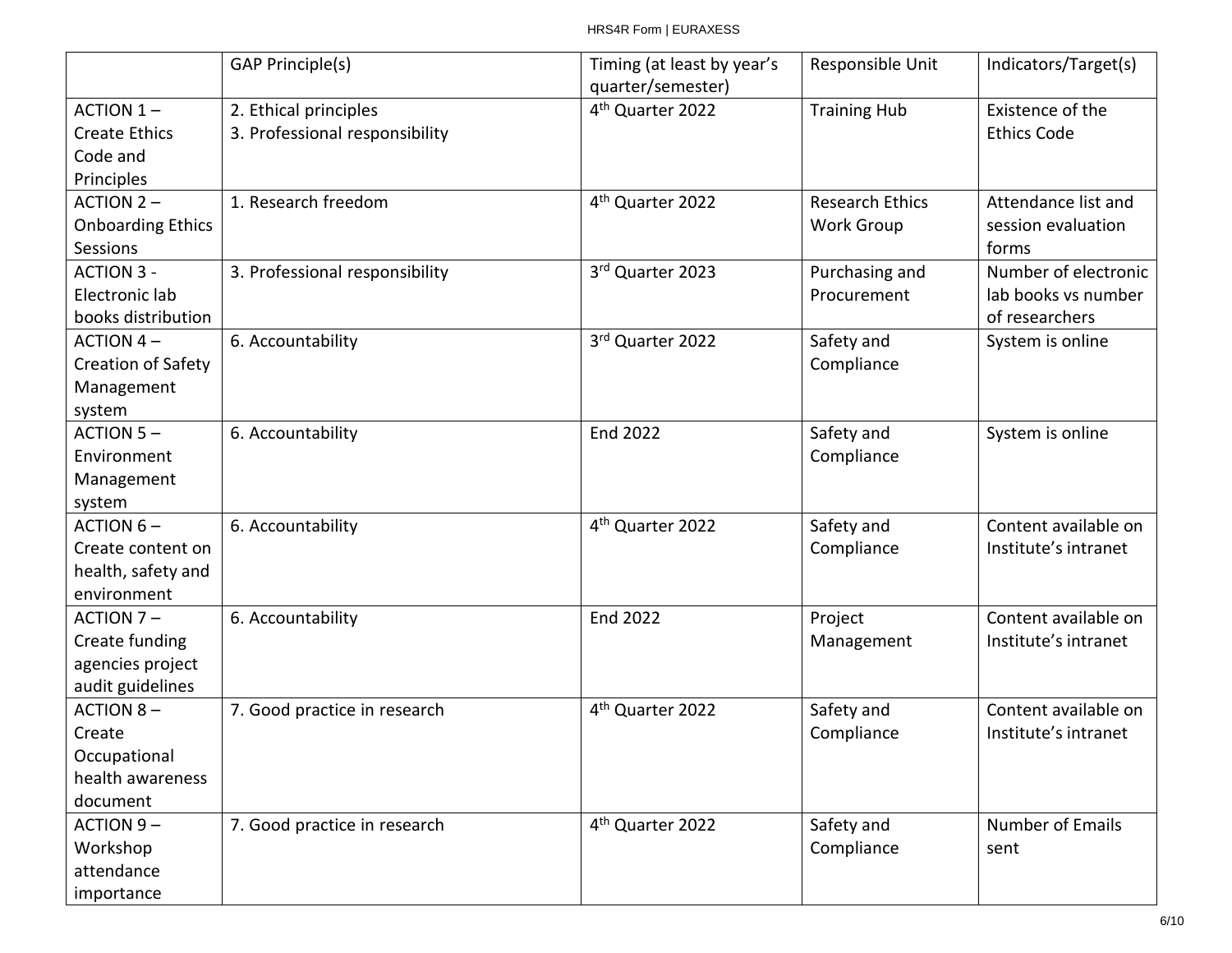|                          | <b>GAP Principle(s)</b>        | Timing (at least by year's   | Responsible Unit       | Indicators/Target(s) |
|--------------------------|--------------------------------|------------------------------|------------------------|----------------------|
|                          |                                | quarter/semester)            |                        |                      |
| ACTION 1-                | 2. Ethical principles          | 4 <sup>th</sup> Quarter 2022 | <b>Training Hub</b>    | Existence of the     |
| <b>Create Ethics</b>     | 3. Professional responsibility |                              |                        | <b>Ethics Code</b>   |
| Code and                 |                                |                              |                        |                      |
| Principles               |                                |                              |                        |                      |
| <b>ACTION 2-</b>         | 1. Research freedom            | 4 <sup>th</sup> Quarter 2022 | <b>Research Ethics</b> | Attendance list and  |
| <b>Onboarding Ethics</b> |                                |                              | <b>Work Group</b>      | session evaluation   |
| Sessions                 |                                |                              |                        | forms                |
| <b>ACTION 3 -</b>        | 3. Professional responsibility | 3rd Quarter 2023             | Purchasing and         | Number of electronic |
| Electronic lab           |                                |                              | Procurement            | lab books vs number  |
| books distribution       |                                |                              |                        | of researchers       |
| <b>ACTION 4-</b>         | 6. Accountability              | 3rd Quarter 2022             | Safety and             | System is online     |
| Creation of Safety       |                                |                              | Compliance             |                      |
| Management               |                                |                              |                        |                      |
| system                   |                                |                              |                        |                      |
| <b>ACTION 5-</b>         | 6. Accountability              | <b>End 2022</b>              | Safety and             | System is online     |
| Environment              |                                |                              | Compliance             |                      |
| Management               |                                |                              |                        |                      |
| system                   |                                |                              |                        |                      |
| ACTION $6-$              | 6. Accountability              | 4 <sup>th</sup> Quarter 2022 | Safety and             | Content available on |
| Create content on        |                                |                              | Compliance             | Institute's intranet |
| health, safety and       |                                |                              |                        |                      |
| environment              |                                |                              |                        |                      |
| ACTION 7-                | 6. Accountability              | <b>End 2022</b>              | Project                | Content available on |
| Create funding           |                                |                              | Management             | Institute's intranet |
| agencies project         |                                |                              |                        |                      |
| audit guidelines         |                                |                              |                        |                      |
| <b>ACTION 8-</b>         | 7. Good practice in research   | 4 <sup>th</sup> Quarter 2022 | Safety and             | Content available on |
| Create                   |                                |                              | Compliance             | Institute's intranet |
| Occupational             |                                |                              |                        |                      |
| health awareness         |                                |                              |                        |                      |
| document                 |                                |                              |                        |                      |
| <b>ACTION 9-</b>         | 7. Good practice in research   | 4 <sup>th</sup> Quarter 2022 | Safety and             | Number of Emails     |
| Workshop                 |                                |                              | Compliance             | sent                 |
| attendance               |                                |                              |                        |                      |
| importance               |                                |                              |                        |                      |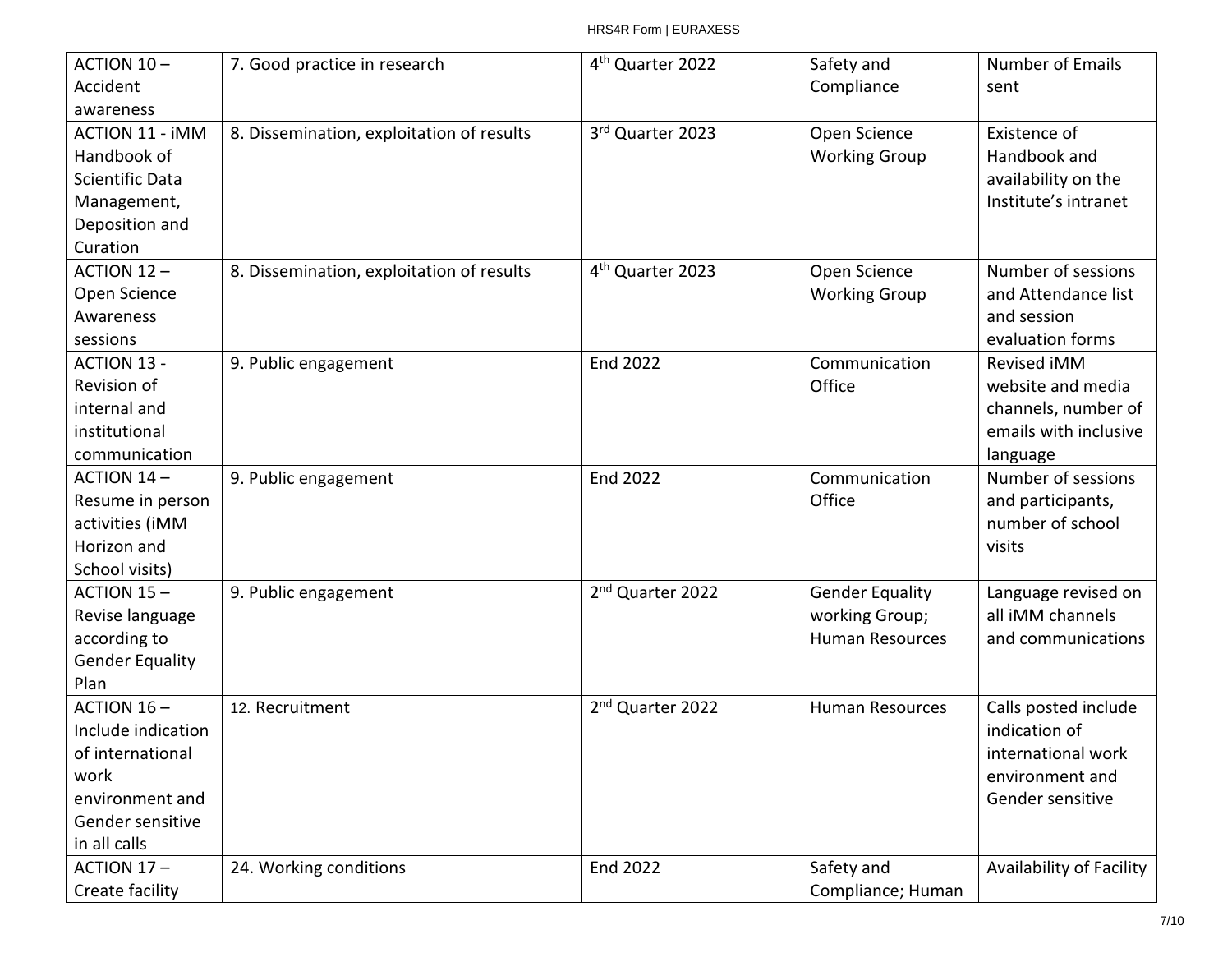| ACTION 10-             | 7. Good practice in research              | 4 <sup>th</sup> Quarter 2022 | Safety and             | Number of Emails         |
|------------------------|-------------------------------------------|------------------------------|------------------------|--------------------------|
| Accident               |                                           |                              | Compliance             | sent                     |
| awareness              |                                           |                              |                        |                          |
| <b>ACTION 11 - iMM</b> | 8. Dissemination, exploitation of results | 3rd Quarter 2023             | Open Science           | Existence of             |
| Handbook of            |                                           |                              | <b>Working Group</b>   | Handbook and             |
| <b>Scientific Data</b> |                                           |                              |                        | availability on the      |
| Management,            |                                           |                              |                        | Institute's intranet     |
| Deposition and         |                                           |                              |                        |                          |
| Curation               |                                           |                              |                        |                          |
| ACTION $12 -$          | 8. Dissemination, exploitation of results | 4 <sup>th</sup> Quarter 2023 | Open Science           | Number of sessions       |
| Open Science           |                                           |                              | <b>Working Group</b>   | and Attendance list      |
| Awareness              |                                           |                              |                        | and session              |
| sessions               |                                           |                              |                        | evaluation forms         |
| ACTION 13 -            | 9. Public engagement                      | End 2022                     | Communication          | Revised iMM              |
| Revision of            |                                           |                              | Office                 | website and media        |
| internal and           |                                           |                              |                        | channels, number of      |
| institutional          |                                           |                              |                        | emails with inclusive    |
| communication          |                                           |                              |                        | language                 |
| <b>ACTION 14-</b>      | 9. Public engagement                      | <b>End 2022</b>              | Communication          | Number of sessions       |
| Resume in person       |                                           |                              | Office                 | and participants,        |
| activities (iMM        |                                           |                              |                        | number of school         |
| Horizon and            |                                           |                              |                        | visits                   |
| School visits)         |                                           |                              |                        |                          |
| <b>ACTION 15-</b>      | 9. Public engagement                      | 2 <sup>nd</sup> Quarter 2022 | <b>Gender Equality</b> | Language revised on      |
| Revise language        |                                           |                              | working Group;         | all iMM channels         |
| according to           |                                           |                              | <b>Human Resources</b> | and communications       |
| <b>Gender Equality</b> |                                           |                              |                        |                          |
| Plan                   |                                           |                              |                        |                          |
| ACTION 16-             | 12. Recruitment                           | 2 <sup>nd</sup> Quarter 2022 | <b>Human Resources</b> | Calls posted include     |
| Include indication     |                                           |                              |                        | indication of            |
| of international       |                                           |                              |                        | international work       |
| work                   |                                           |                              |                        | environment and          |
| environment and        |                                           |                              |                        | Gender sensitive         |
| Gender sensitive       |                                           |                              |                        |                          |
| in all calls           |                                           |                              |                        |                          |
| ACTION 17-             | 24. Working conditions                    | <b>End 2022</b>              | Safety and             | Availability of Facility |
| Create facility        |                                           |                              | Compliance; Human      |                          |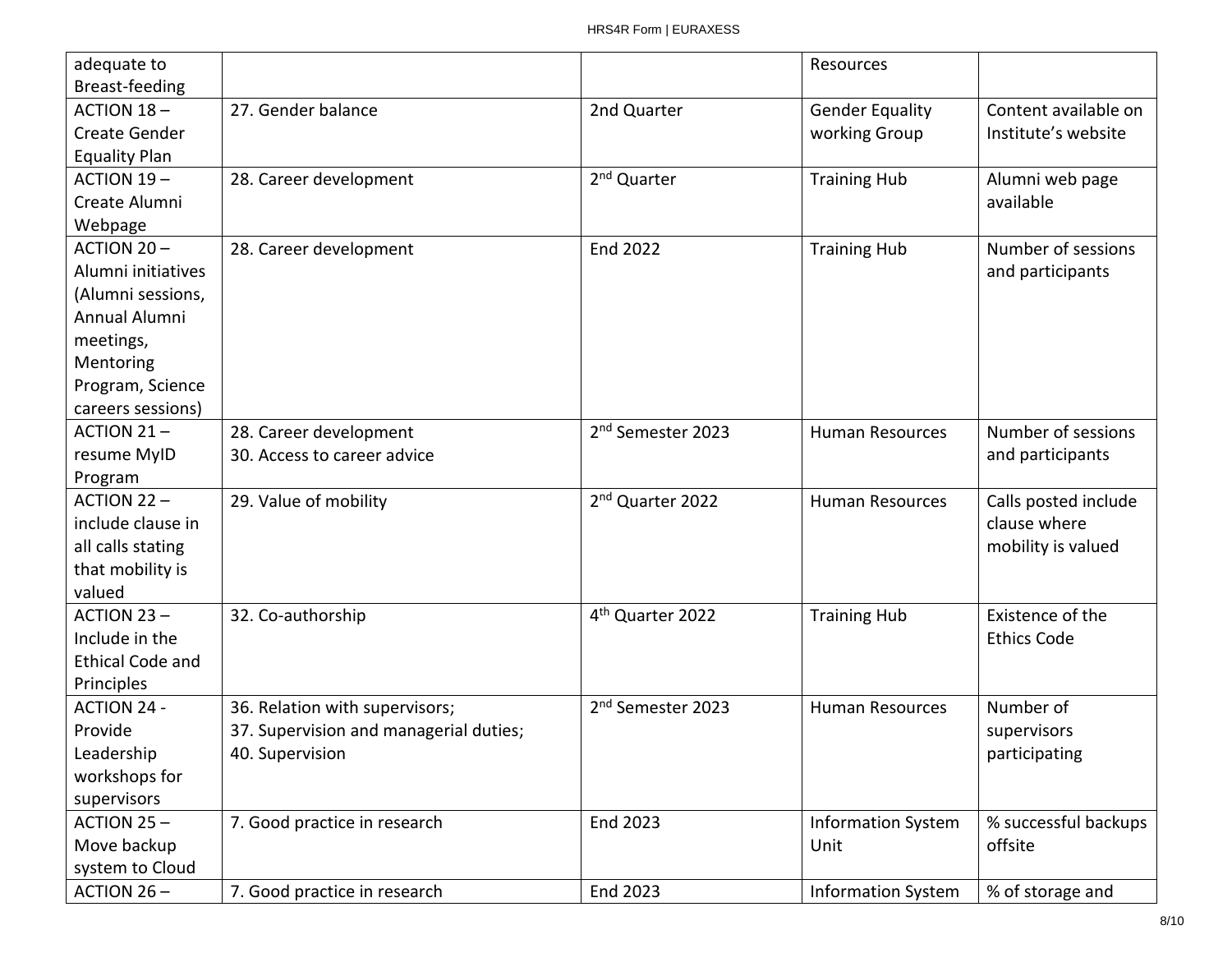| adequate to<br>Breast-feeding |                                        |                               | Resources                 |                      |
|-------------------------------|----------------------------------------|-------------------------------|---------------------------|----------------------|
| ACTION $18-$                  | 27. Gender balance                     | 2nd Quarter                   | <b>Gender Equality</b>    | Content available on |
| Create Gender                 |                                        |                               | working Group             | Institute's website  |
| <b>Equality Plan</b>          |                                        |                               |                           |                      |
| <b>ACTION 19-</b>             | 28. Career development                 | 2 <sup>nd</sup> Quarter       | <b>Training Hub</b>       | Alumni web page      |
| Create Alumni                 |                                        |                               |                           | available            |
| Webpage                       |                                        |                               |                           |                      |
| <b>ACTION 20-</b>             | 28. Career development                 | <b>End 2022</b>               | <b>Training Hub</b>       | Number of sessions   |
| Alumni initiatives            |                                        |                               |                           | and participants     |
| (Alumni sessions,             |                                        |                               |                           |                      |
| Annual Alumni                 |                                        |                               |                           |                      |
| meetings,                     |                                        |                               |                           |                      |
| Mentoring                     |                                        |                               |                           |                      |
| Program, Science              |                                        |                               |                           |                      |
| careers sessions)             |                                        |                               |                           |                      |
| ACTION 21-                    | 28. Career development                 | 2 <sup>nd</sup> Semester 2023 | <b>Human Resources</b>    | Number of sessions   |
| resume MyID                   | 30. Access to career advice            |                               |                           | and participants     |
| Program                       |                                        |                               |                           |                      |
| $ACTION 22 -$                 | 29. Value of mobility                  | 2 <sup>nd</sup> Quarter 2022  | <b>Human Resources</b>    | Calls posted include |
| include clause in             |                                        |                               |                           | clause where         |
| all calls stating             |                                        |                               |                           | mobility is valued   |
| that mobility is              |                                        |                               |                           |                      |
| valued                        |                                        |                               |                           |                      |
| <b>ACTION 23-</b>             | 32. Co-authorship                      | 4 <sup>th</sup> Quarter 2022  | <b>Training Hub</b>       | Existence of the     |
| Include in the                |                                        |                               |                           | <b>Ethics Code</b>   |
| <b>Ethical Code and</b>       |                                        |                               |                           |                      |
| Principles                    |                                        |                               |                           |                      |
| <b>ACTION 24 -</b>            | 36. Relation with supervisors;         | 2 <sup>nd</sup> Semester 2023 | <b>Human Resources</b>    | Number of            |
| Provide                       | 37. Supervision and managerial duties; |                               |                           | supervisors          |
| Leadership                    | 40. Supervision                        |                               |                           | participating        |
| workshops for                 |                                        |                               |                           |                      |
| supervisors                   |                                        |                               |                           |                      |
| ACTION 25-                    | 7. Good practice in research           | End 2023                      | <b>Information System</b> | % successful backups |
| Move backup                   |                                        |                               | Unit                      | offsite              |
| system to Cloud               |                                        |                               |                           |                      |
| ACTION 26-                    | 7. Good practice in research           | End 2023                      | <b>Information System</b> | % of storage and     |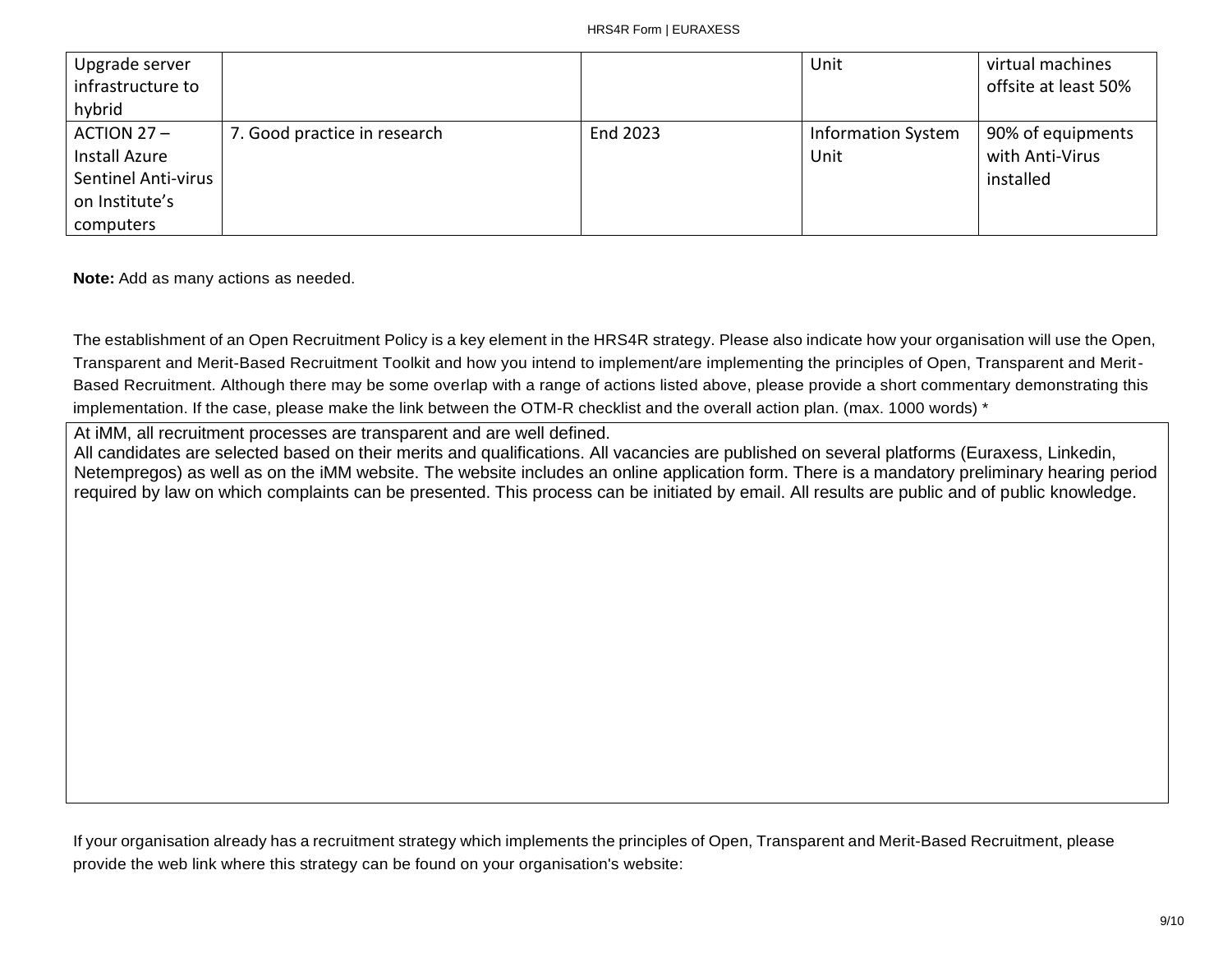| Upgrade server             |                              |          | Unit                      | virtual machines     |
|----------------------------|------------------------------|----------|---------------------------|----------------------|
| infrastructure to          |                              |          |                           | offsite at least 50% |
| hybrid                     |                              |          |                           |                      |
| $ACTION 27 -$              | 7. Good practice in research | End 2023 | <b>Information System</b> | 90% of equipments    |
| Install Azure              |                              |          | Unit                      | with Anti-Virus      |
| <b>Sentinel Anti-virus</b> |                              |          |                           | installed            |
| on Institute's             |                              |          |                           |                      |
| computers                  |                              |          |                           |                      |

**Note:** Add as many actions as needed.

The establishment of an Open Recruitment Policy is a key element in the HRS4R strategy. Please also indicate how your organisation will use the Open, Transparent and Merit-Based Recruitment Toolkit and how you intend to implement/are implementing the principles of Open, Transparent and Merit-Based Recruitment. Although there may be some overlap with a range of actions listed above, please provide a short commentary demonstrating this implementation. If the case, please make the link between the OTM-R checklist and the overall action plan. (max. 1000 words) \*

At iMM, all recruitment processes are transparent and are well defined.

All candidates are selected based on their merits and qualifications. All vacancies are published on several platforms (Euraxess, Linkedin, Netempregos) as well as on the iMM website. The website includes an online application form. There is a mandatory preliminary hearing period required by law on which complaints can be presented. This process can be initiated by email. All results are public and of public knowledge.

If your organisation already has a recruitment strategy which implements the principles of Open, Transparent and Merit-Based Recruitment, please provide the web link where this strategy can be found on your organisation's website: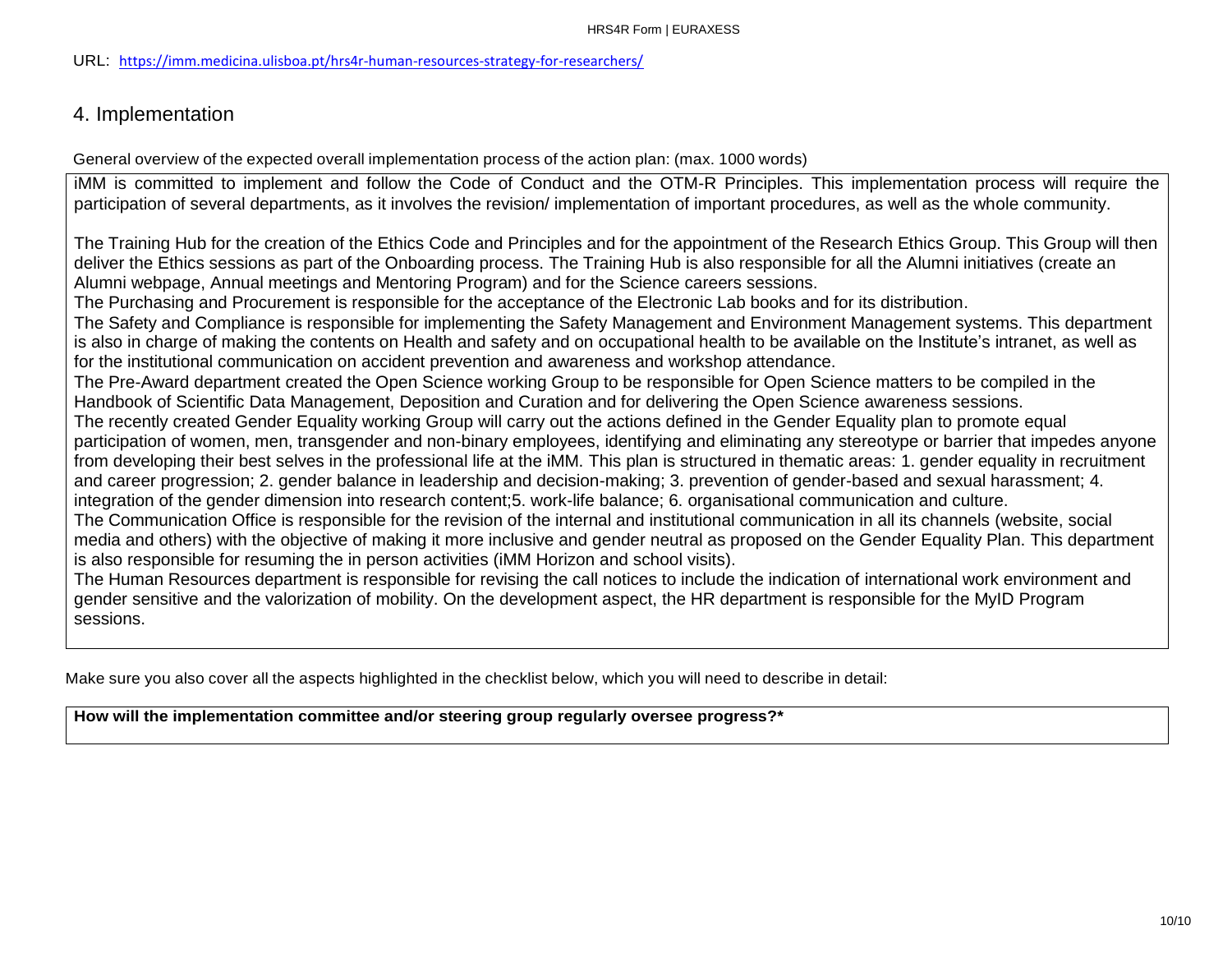#### URL: <https://imm.medicina.ulisboa.pt/hrs4r-human-resources-strategy-for-researchers/>

## 4. Implementation

General overview of the expected overall implementation process of the action plan: (max. 1000 words)

iMM is committed to implement and follow the Code of Conduct and the OTM-R Principles. This implementation process will require the participation of several departments, as it involves the revision/ implementation of important procedures, as well as the whole community.

The Training Hub for the creation of the Ethics Code and Principles and for the appointment of the Research Ethics Group. This Group will then deliver the Ethics sessions as part of the Onboarding process. The Training Hub is also responsible for all the Alumni initiatives (create an Alumni webpage, Annual meetings and Mentoring Program) and for the Science careers sessions.

The Purchasing and Procurement is responsible for the acceptance of the Electronic Lab books and for its distribution.

The Safety and Compliance is responsible for implementing the Safety Management and Environment Management systems. This department is also in charge of making the contents on Health and safety and on occupational health to be available on the Institute's intranet, as well as for the institutional communication on accident prevention and awareness and workshop attendance.

The Pre-Award department created the Open Science working Group to be responsible for Open Science matters to be compiled in the Handbook of Scientific Data Management, Deposition and Curation and for delivering the Open Science awareness sessions.

The recently created Gender Equality working Group will carry out the actions defined in the Gender Equality plan to promote equal participation of women, men, transgender and non-binary employees, identifying and eliminating any stereotype or barrier that impedes anyone from developing their best selves in the professional life at the iMM. This plan is structured in thematic areas: 1. gender equality in recruitment and career progression; 2. gender balance in leadership and decision-making; 3. prevention of gender-based and sexual harassment; 4. integration of the gender dimension into research content;5. work-life balance; 6. organisational communication and culture.

The Communication Office is responsible for the revision of the internal and institutional communication in all its channels (website, social media and others) with the objective of making it more inclusive and gender neutral as proposed on the Gender Equality Plan. This department is also responsible for resuming the in person activities (iMM Horizon and school visits).

The Human Resources department is responsible for revising the call notices to include the indication of international work environment and gender sensitive and the valorization of mobility. On the development aspect, the HR department is responsible for the MyID Program sessions.

Make sure you also cover all the aspects highlighted in the checklist below, which you will need to describe in detail:

**How will the implementation committee and/or steering group regularly oversee progress?\***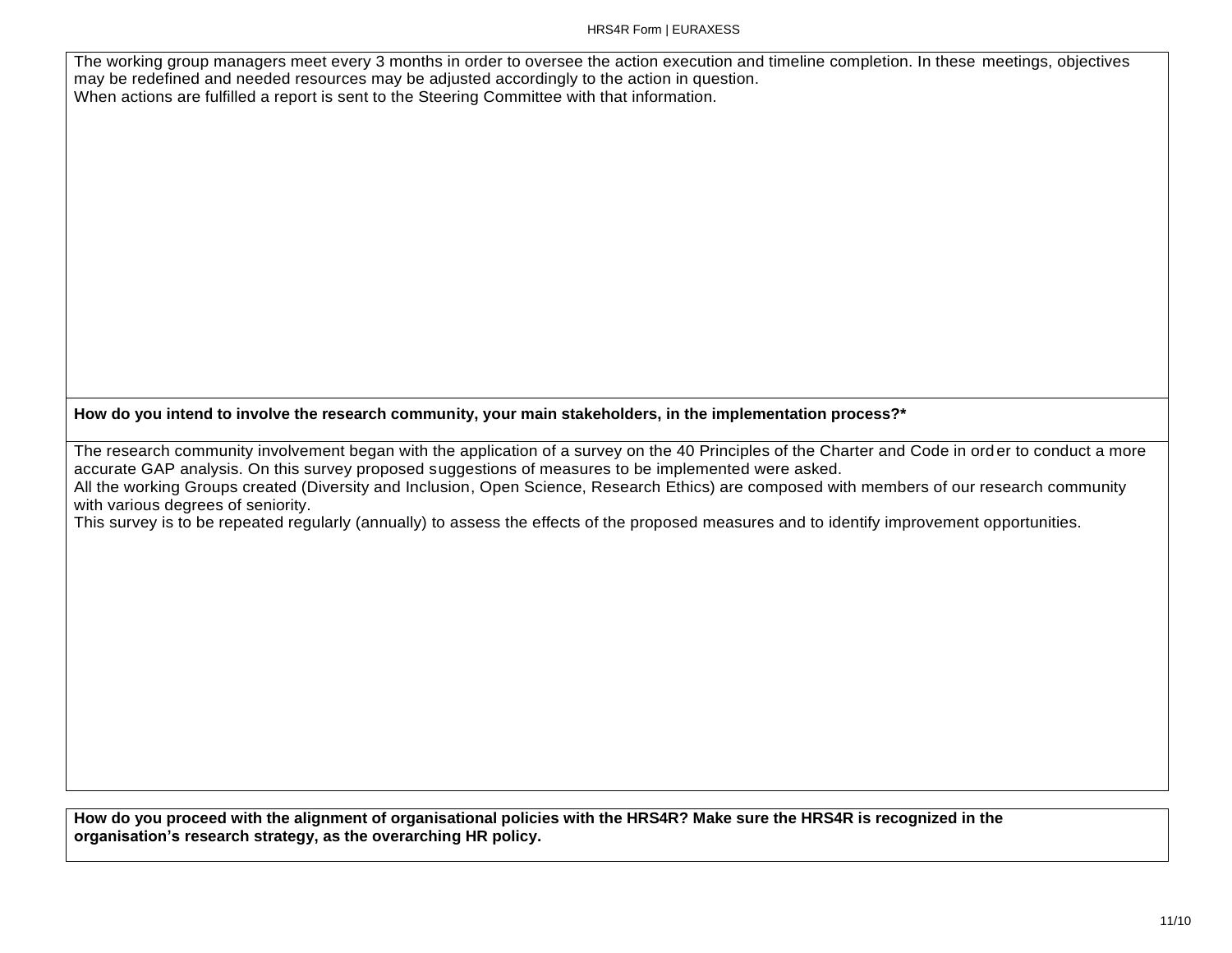The working group managers meet every 3 months in order to oversee the action execution and timeline completion. In these meetings, objectives may be redefined and needed resources may be adjusted accordingly to the action in question. When actions are fulfilled a report is sent to the Steering Committee with that information.

**How do you intend to involve the research community, your main stakeholders, in the implementation process?\***

The research community involvement began with the application of a survey on the 40 Principles of the Charter and Code in ord er to conduct a more accurate GAP analysis. On this survey proposed suggestions of measures to be implemented were asked. All the working Groups created (Diversity and Inclusion, Open Science, Research Ethics) are composed with members of our research community with various degrees of seniority.

This survey is to be repeated regularly (annually) to assess the effects of the proposed measures and to identify improvement opportunities.

**How do you proceed with the alignment of organisational policies with the HRS4R? Make sure the HRS4R is recognized in the organisation's research strategy, as the overarching HR policy.**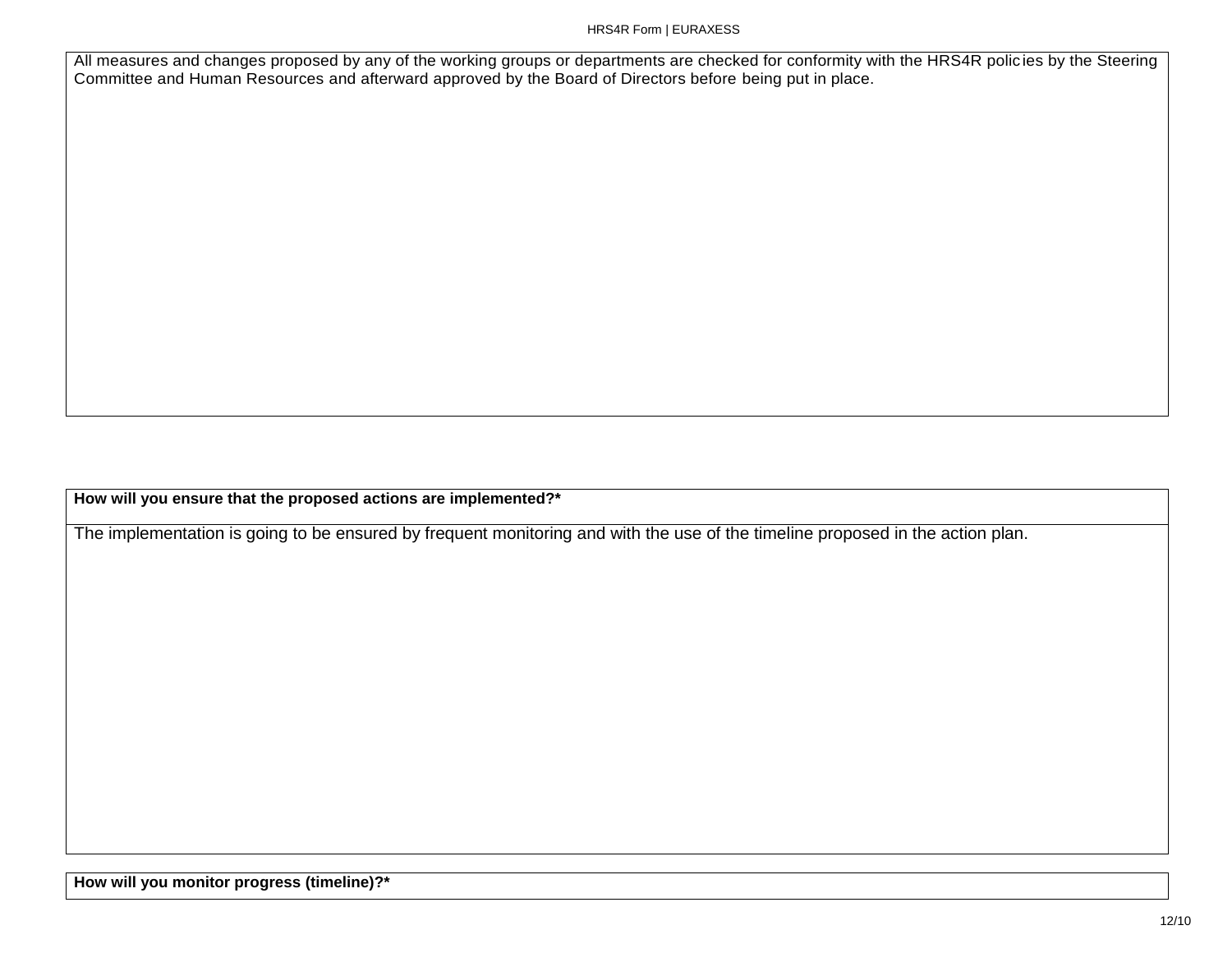#### HRS4R Form | EURAXESS

All measures and changes proposed by any of the working groups or departments are checked for conformity with the HRS4R polic ies by the Steering Committee and Human Resources and afterward approved by the Board of Directors before being put in place.

**How will you ensure that the proposed actions are implemented?\***

The implementation is going to be ensured by frequent monitoring and with the use of the timeline proposed in the action plan.

**How will you monitor progress (timeline)?\***